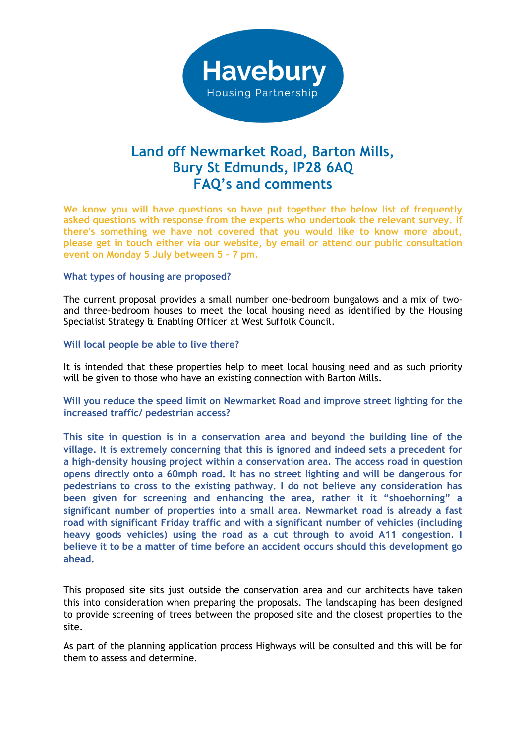

## **Land off Newmarket Road, Barton Mills, Bury St Edmunds, IP28 6AQ FAQ's and comments**

**We know you will have questions so have put together the below list of frequently asked questions with response from the experts who undertook the relevant survey. If there's something we have not covered that you would like to know more about, please get in touch either via our website, by email or attend our public consultation event on Monday 5 July between 5 – 7 pm.** 

## **What types of housing are proposed?**

The current proposal provides a small number one-bedroom bungalows and a mix of twoand three-bedroom houses to meet the local housing need as identified by the Housing Specialist Strategy & Enabling Officer at West Suffolk Council.

## **Will local people be able to live there?**

It is intended that these properties help to meet local housing need and as such priority will be given to those who have an existing connection with Barton Mills.

## **Will you reduce the speed limit on Newmarket Road and improve street lighting for the increased traffic/ pedestrian access?**

**This site in question is in a conservation area and beyond the building line of the village. It is extremely concerning that this is ignored and indeed sets a precedent for a high-density housing project within a conservation area. The access road in question opens directly onto a 60mph road. It has no street lighting and will be dangerous for pedestrians to cross to the existing pathway. I do not believe any consideration has been given for screening and enhancing the area, rather it it "shoehorning" a significant number of properties into a small area. Newmarket road is already a fast road with significant Friday traffic and with a significant number of vehicles (including heavy goods vehicles) using the road as a cut through to avoid A11 congestion. I believe it to be a matter of time before an accident occurs should this development go ahead.**

This proposed site sits just outside the conservation area and our architects have taken this into consideration when preparing the proposals. The landscaping has been designed to provide screening of trees between the proposed site and the closest properties to the site.

As part of the planning application process Highways will be consulted and this will be for them to assess and determine.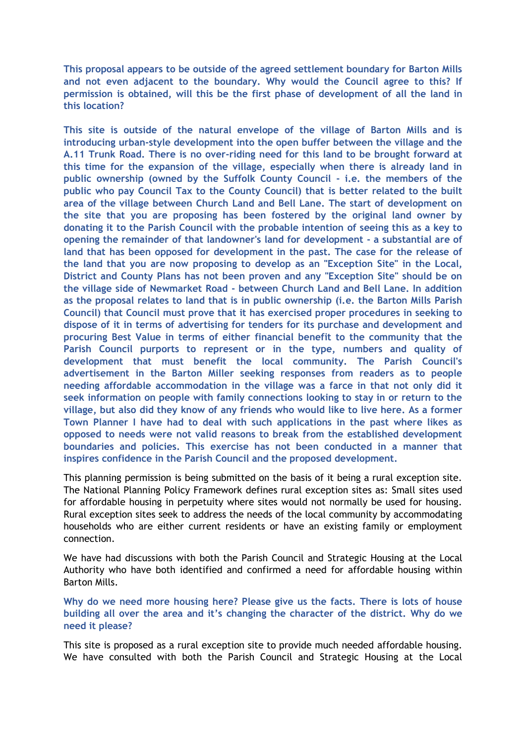**This proposal appears to be outside of the agreed settlement boundary for Barton Mills and not even adjacent to the boundary. Why would the Council agree to this? If permission is obtained, will this be the first phase of development of all the land in this location?**

**This site is outside of the natural envelope of the village of Barton Mills and is introducing urban-style development into the open buffer between the village and the A.11 Trunk Road. There is no over-riding need for this land to be brought forward at this time for the expansion of the village, especially when there is already land in public ownership (owned by the Suffolk County Council - i.e. the members of the public who pay Council Tax to the County Council) that is better related to the built area of the village between Church Land and Bell Lane. The start of development on the site that you are proposing has been fostered by the original land owner by donating it to the Parish Council with the probable intention of seeing this as a key to opening the remainder of that landowner's land for development - a substantial are of land that has been opposed for development in the past. The case for the release of the land that you are now proposing to develop as an "Exception Site" in the Local, District and County Plans has not been proven and any "Exception Site" should be on the village side of Newmarket Road - between Church Land and Bell Lane. In addition as the proposal relates to land that is in public ownership (i.e. the Barton Mills Parish Council) that Council must prove that it has exercised proper procedures in seeking to dispose of it in terms of advertising for tenders for its purchase and development and procuring Best Value in terms of either financial benefit to the community that the Parish Council purports to represent or in the type, numbers and quality of development that must benefit the local community. The Parish Council's advertisement in the Barton Miller seeking responses from readers as to people needing affordable accommodation in the village was a farce in that not only did it seek information on people with family connections looking to stay in or return to the village, but also did they know of any friends who would like to live here. As a former Town Planner I have had to deal with such applications in the past where likes as opposed to needs were not valid reasons to break from the established development boundaries and policies. This exercise has not been conducted in a manner that inspires confidence in the Parish Council and the proposed development.**

This planning permission is being submitted on the basis of it being a rural exception site. The National Planning Policy Framework defines rural exception sites as: Small sites used for affordable housing in perpetuity where sites would not normally be used for housing. Rural exception sites seek to address the needs of the local community by accommodating households who are either current residents or have an existing family or employment connection.

We have had discussions with both the Parish Council and Strategic Housing at the Local Authority who have both identified and confirmed a need for affordable housing within Barton Mills.

**Why do we need more housing here? Please give us the facts. There is lots of house building all over the area and it's changing the character of the district. Why do we need it please?**

This site is proposed as a rural exception site to provide much needed affordable housing. We have consulted with both the Parish Council and Strategic Housing at the Local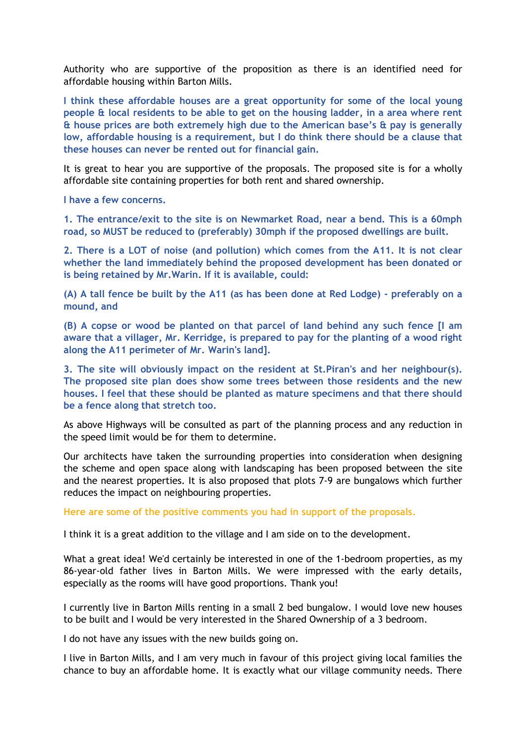Authority who are supportive of the proposition as there is an identified need for affordable housing within Barton Mills.

**I think these affordable houses are a great opportunity for some of the local young people & local residents to be able to get on the housing ladder, in a area where rent & house prices are both extremely high due to the American base's & pay is generally low, affordable housing is a requirement, but I do think there should be a clause that these houses can never be rented out for financial gain.**

It is great to hear you are supportive of the proposals. The proposed site is for a wholly affordable site containing properties for both rent and shared ownership.

**I have a few concerns.**

**1. The entrance/exit to the site is on Newmarket Road, near a bend. This is a 60mph road, so MUST be reduced to (preferably) 30mph if the proposed dwellings are built.**

**2. There is a LOT of noise (and pollution) which comes from the A11. It is not clear whether the land immediately behind the proposed development has been donated or is being retained by Mr.Warin. If it is available, could:**

**(A) A tall fence be built by the A11 (as has been done at Red Lodge) - preferably on a mound, and**

**(B) A copse or wood be planted on that parcel of land behind any such fence [I am aware that a villager, Mr. Kerridge, is prepared to pay for the planting of a wood right along the A11 perimeter of Mr. Warin's land].**

**3. The site will obviously impact on the resident at St.Piran's and her neighbour(s). The proposed site plan does show some trees between those residents and the new houses. I feel that these should be planted as mature specimens and that there should be a fence along that stretch too.**

As above Highways will be consulted as part of the planning process and any reduction in the speed limit would be for them to determine.

Our architects have taken the surrounding properties into consideration when designing the scheme and open space along with landscaping has been proposed between the site and the nearest properties. It is also proposed that plots 7-9 are bungalows which further reduces the impact on neighbouring properties.

**Here are some of the positive comments you had in support of the proposals.** 

I think it is a great addition to the village and I am side on to the development.

What a great idea! We'd certainly be interested in one of the 1-bedroom properties, as my 86-year-old father lives in Barton Mills. We were impressed with the early details, especially as the rooms will have good proportions. Thank you!

I currently live in Barton Mills renting in a small 2 bed bungalow. I would love new houses to be built and I would be very interested in the Shared Ownership of a 3 bedroom.

I do not have any issues with the new builds going on.

I live in Barton Mills, and I am very much in favour of this project giving local families the chance to buy an affordable home. It is exactly what our village community needs. There